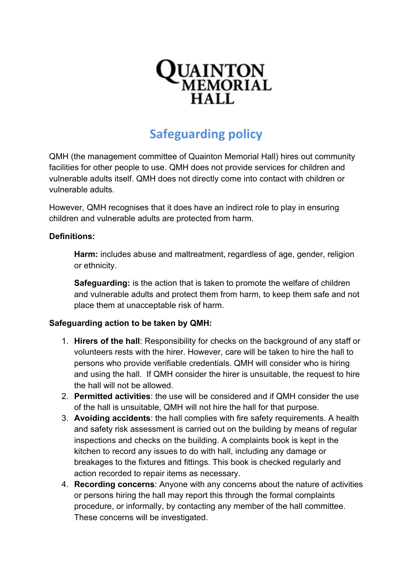

## **Safeguarding policy**

QMH (the management committee of Quainton Memorial Hall) hires out community facilities for other people to use. QMH does not provide services for children and vulnerable adults itself. QMH does not directly come into contact with children or vulnerable adults.

However, QMH recognises that it does have an indirect role to play in ensuring children and vulnerable adults are protected from harm.

## **Definitions:**

**Harm:** includes abuse and maltreatment, regardless of age, gender, religion or ethnicity.

**Safeguarding:** is the action that is taken to promote the welfare of children and vulnerable adults and protect them from harm, to keep them safe and not place them at unacceptable risk of harm.

## **Safeguarding action to be taken by QMH:**

- 1. **Hirers of the hall**: Responsibility for checks on the background of any staff or volunteers rests with the hirer. However, care will be taken to hire the hall to persons who provide verifiable credentials. QMH will consider who is hiring and using the hall. If QMH consider the hirer is unsuitable, the request to hire the hall will not be allowed.
- 2. **Permitted activities**: the use will be considered and if QMH consider the use of the hall is unsuitable, QMH will not hire the hall for that purpose.
- 3. **Avoiding accidents**: the hall complies with fire safety requirements. A health and safety risk assessment is carried out on the building by means of regular inspections and checks on the building. A complaints book is kept in the kitchen to record any issues to do with hall, including any damage or breakages to the fixtures and fittings. This book is checked regularly and action recorded to repair items as necessary.
- 4. **Recording concerns**: Anyone with any concerns about the nature of activities or persons hiring the hall may report this through the formal complaints procedure, or informally, by contacting any member of the hall committee. These concerns will be investigated.